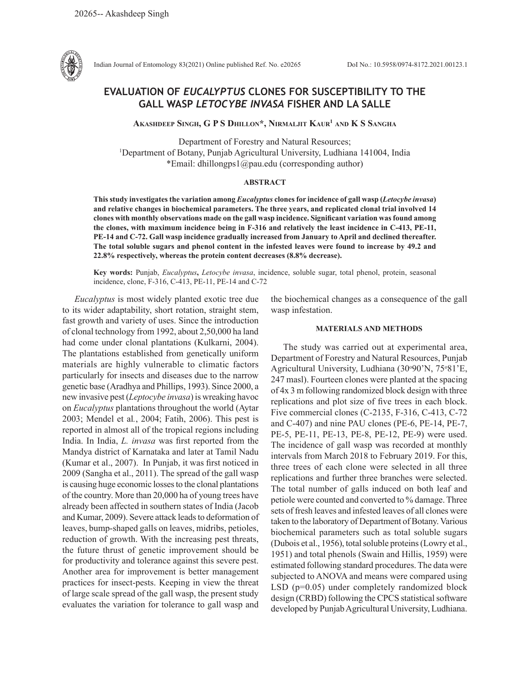

Indian Journal of Entomology 83(2021) Online published Ref. No. e20265 DoI No.: 10.5958/0974-8172.2021.00123.1

# **EVALUATION OF** *EUCALYPTUS* **CLONES FOR SUSCEPTIBILITY TO THE GALL WASP** *LETOCYBE INVASA* **FISHER AND LA SALLE**

**Akashdeep Singh, G P S Dhillon\*, Nirmaljit Kaur1 and K S Sangha**

Department of Forestry and Natural Resources; 1 Department of Botany, Punjab Agricultural University, Ludhiana 141004, India \*Email: dhillongps1@pau.edu (corresponding author)

#### **ABSTRACT**

**This study investigates the variation among** *Eucalyptus* **clones for incidence of gall wasp (***Letocybe invasa***) and relative changes in biochemical parameters. The three years, and replicated clonal trial involved 14 clones with monthly observations made on the gall wasp incidence. Significant variation was found among the clones, with maximum incidence being in F-316 and relatively the least incidence in C-413, PE-11, PE-14 and C-72. Gall wasp incidence gradually increased from January to April and declined thereafter. The total soluble sugars and phenol content in the infested leaves were found to increase by 49.2 and 22.8% respectively, whereas the protein content decreases (8.8% decrease).** 

**Key words:** Punjab, *Eucalyptus***,** *Letocybe invasa*, incidence, soluble sugar, total phenol, protein, seasonal incidence, clone, F-316, C-413, PE-11, PE-14 and C-72

*Eucalyptus* is most widely planted exotic tree due to its wider adaptability, short rotation, straight stem, fast growth and variety of uses. Since the introduction of clonal technology from 1992, about 2,50,000 ha land had come under clonal plantations (Kulkarni, 2004). The plantations established from genetically uniform materials are highly vulnerable to climatic factors particularly for insects and diseases due to the narrow genetic base (Aradhya and Phillips, 1993). Since 2000, a new invasive pest (*Leptocybe invasa*) is wreaking havoc on *Eucalyptus* plantations throughout the world (Aytar 2003; Mendel et al*.*, 2004; Fatih, 2006). This pest is reported in almost all of the tropical regions including India. In India, *L. invasa* was first reported from the Mandya district of Karnataka and later at Tamil Nadu (Kumar et al., 2007). In Punjab, it was first noticed in 2009 (Sangha et al., 2011). The spread of the gall wasp is causing huge economic losses to the clonal plantations of the country. More than 20,000 ha of young trees have already been affected in southern states of India (Jacob and Kumar, 2009). Severe attack leads to deformation of leaves, bump-shaped galls on leaves, midribs, petioles, reduction of growth. With the increasing pest threats, the future thrust of genetic improvement should be for productivity and tolerance against this severe pest. Another area for improvement is better management practices for insect-pests. Keeping in view the threat of large scale spread of the gall wasp, the present study evaluates the variation for tolerance to gall wasp and the biochemical changes as a consequence of the gall wasp infestation.

## **MATERIALS AND METHODS**

The study was carried out at experimental area, Department of Forestry and Natural Resources, Punjab Agricultural University, Ludhiana (30°90'N, 75°81'E, 247 masl). Fourteen clones were planted at the spacing of 4x 3 m following randomized block design with three replications and plot size of five trees in each block. Five commercial clones (C-2135, F-316, C-413, C-72 and C-407) and nine PAU clones (PE-6, PE-14, PE-7, PE-5, PE-11, PE-13, PE-8, PE-12, PE-9) were used. The incidence of gall wasp was recorded at monthly intervals from March 2018 to February 2019. For this, three trees of each clone were selected in all three replications and further three branches were selected. The total number of galls induced on both leaf and petiole were counted and converted to % damage. Three sets of fresh leaves and infested leaves of all clones were taken to the laboratory of Department of Botany. Various biochemical parameters such as total soluble sugars (Dubois et al., 1956), total soluble proteins (Lowry et al., 1951) and total phenols (Swain and Hillis, 1959) were estimated following standard procedures. The data were subjected to ANOVA and means were compared using LSD (p=0.05) under completely randomized block design (CRBD) following the CPCS statistical software developed by Punjab Agricultural University, Ludhiana.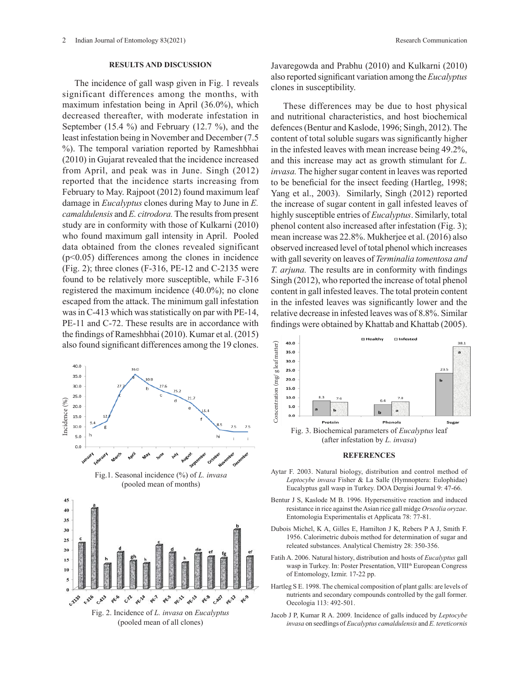### **RESULTS AND DISCUSSION**

The incidence of gall wasp given in Fig. 1 reveals significant differences among the months, with maximum infestation being in April (36.0%), which decreased thereafter, with moderate infestation in September (15.4 %) and February (12.7 %), and the least infestation being in November and December (7.5 %). The temporal variation reported by Rameshbhai (2010) in Gujarat revealed that the incidence increased from April, and peak was in June. Singh (2012) reported that the incidence starts increasing from February to May. Rajpoot (2012) found maximum leaf damage in *Eucalyptus* clones during May to June in *E. camaldulensis* and *E. citrodora.* The results from present study are in conformity with those of Kulkarni (2010) who found maximum gall intensity in April. Pooled data obtained from the clones revealed significant (p<0.05) differences among the clones in incidence (Fig. 2); three clones (F-316, PE-12 and C-2135 were found to be relatively more susceptible, while F-316 registered the maximum incidence (40.0%); no clone escaped from the attack. The minimum gall infestation was in C-413 which was statistically on par with PE-14, PE-11 and C-72. These results are in accordance with the findings of Rameshbhai (2010). Kumar et al. (2015) also found significant differences among the 19 clones.



Javaregowda and Prabhu (2010) and Kulkarni (2010) also reported significant variation among the *Eucalyptus*  clones in susceptibility.

These differences may be due to host physical and nutritional characteristics, and host biochemical defences (Bentur and Kaslode, 1996; Singh, 2012). The content of total soluble sugars was significantly higher in the infested leaves with mean increase being 49.2%, and this increase may act as growth stimulant for *L. invasa.* The higher sugar content in leaves was reported to be beneficial for the insect feeding (Hartleg, 1998; Yang et al., 2003). Similarly, Singh (2012) reported the increase of sugar content in gall infested leaves of highly susceptible entries of *Eucalyptus*. Similarly, total phenol content also increased after infestation (Fig. 3); mean increase was 22.8%. Mukherjee et al. (2016) also observed increased level of total phenol which increases boserved increased level of total phenor which increases<br>with gall severity on leaves of *Terminalia tomentosa and T. arjuna.* The results are in conformity with findings Singh (2012), who reported the increase of total phenol content in gall infested leaves. The total protein content in the infested leaves was significantly lower and the relative decrease in infested leaves was of 8.8%. Similar findings were obtained by Khattab and Khattab (2005).



# Fig. 3. Biochemical parameters of *Eucalyptus* leaf **REFERENCES**

- 
- Bentur J S, Kaslode M B. 1996. Hypersensitive reaction and induced resistance in rice against the Asian rice gall midge *Orseolia oryzae*. Entomologia Experimentalis et Applicata 78: 77-81.
- Dubois Michel, K A, Gilles E, Hamilton J K, Rebers P A J, Smith F. 1956. Calorimetric dubois method for determination of sugar and releated substances. Analytical Chemistry 28: 350-356.
- Fatih A. 2006. Natural history, distribution and hosts of *Eucalyptus* gall wasp in Turkey. In: Poster Presentation, VIII<sup>th</sup> European Congress of Entomology, Izmir. 17-22 pp.
- Hartleg S E. 1998. The chemical composition of plant galls: are levels of nutrients and secondary compounds controlled by the gall former. Oecologia 113: 492-501.
- Jacob J P, Kumar R A. 2009. Incidence of galls induced by *Leptocybe invasa* on seedlings of *Eucalyptus camaldulensis* and *E. tereticornis*